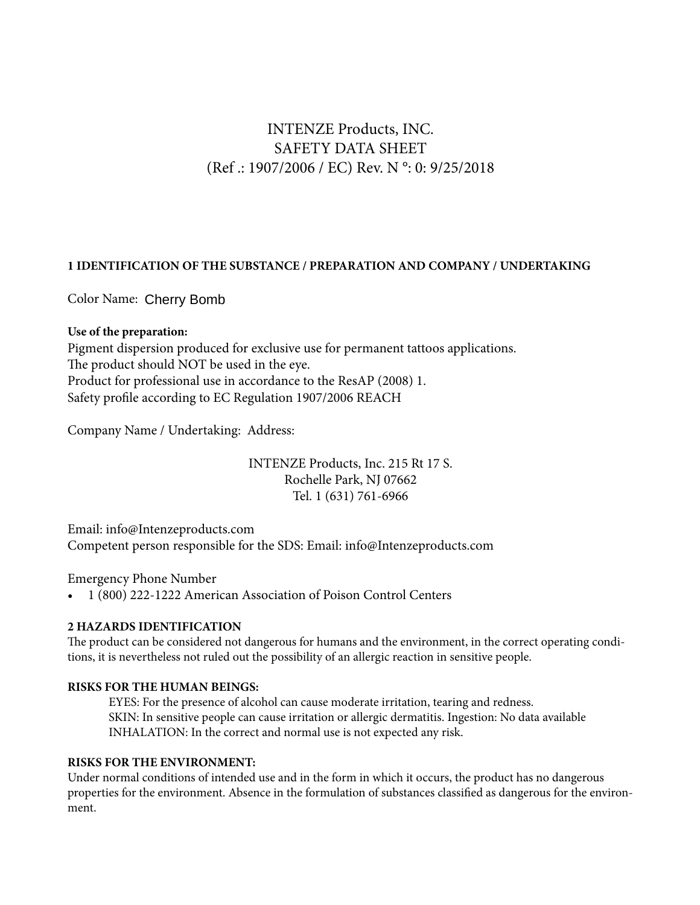# INTENZE Products, INC. SAFETY DATA SHEET (Ref .: 1907/2006 / EC) Rev. N °: 0: 9/25/2018

### **1 IDENTIFICATION OF THE SUBSTANCE / PREPARATION AND COMPANY / UNDERTAKING**

Color Name: Cherry Bomb

### **Use of the preparation:**

Pigment dispersion produced for exclusive use for permanent tattoos applications. The product should NOT be used in the eye. Product for professional use in accordance to the ResAP (2008) 1. Safety profile according to EC Regulation 1907/2006 REACH

Company Name / Undertaking: Address:

INTENZE Products, Inc. 215 Rt 17 S. Rochelle Park, NJ 07662 Tel. 1 (631) 761-6966

Email: info@Intenzeproducts.com Competent person responsible for the SDS: Email: info@Intenzeproducts.com

Emergency Phone Number

• 1 (800) 222-1222 American Association of Poison Control Centers

# **2 HAZARDS IDENTIFICATION**

The product can be considered not dangerous for humans and the environment, in the correct operating conditions, it is nevertheless not ruled out the possibility of an allergic reaction in sensitive people.

### **RISKS FOR THE HUMAN BEINGS:**

EYES: For the presence of alcohol can cause moderate irritation, tearing and redness. SKIN: In sensitive people can cause irritation or allergic dermatitis. Ingestion: No data available INHALATION: In the correct and normal use is not expected any risk.

### **RISKS FOR THE ENVIRONMENT:**

Under normal conditions of intended use and in the form in which it occurs, the product has no dangerous properties for the environment. Absence in the formulation of substances classified as dangerous for the environment.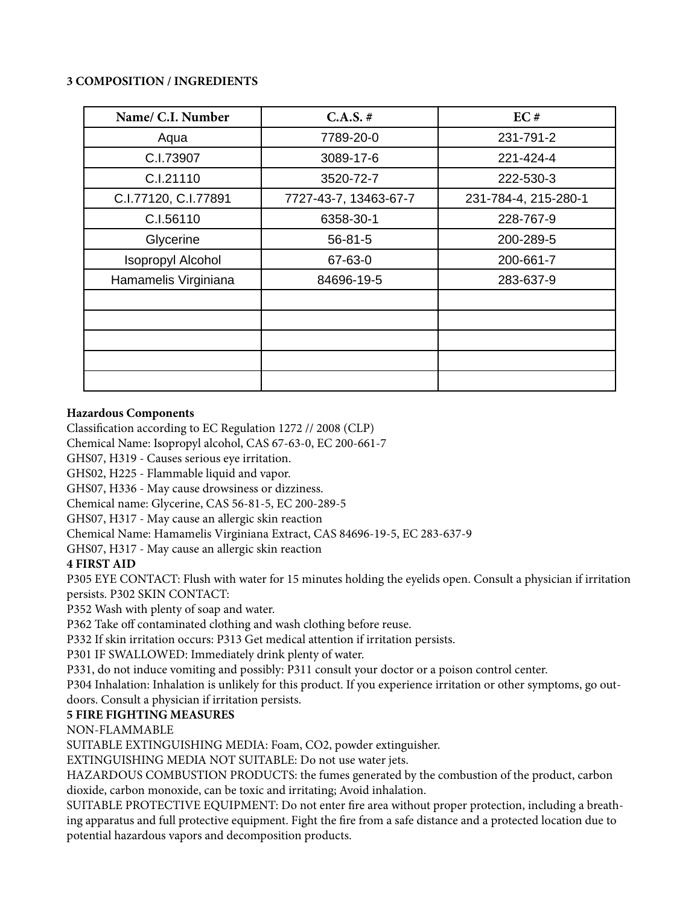### **3 COMPOSITION / INGREDIENTS**

| Name/ C.I. Number        | $C.A.S. \#$           | EC#                  |
|--------------------------|-----------------------|----------------------|
| Aqua                     | 7789-20-0             | 231-791-2            |
| C.I.73907                | 3089-17-6             | 221-424-4            |
| C.I.21110                | 3520-72-7             | 222-530-3            |
| C.I.77120, C.I.77891     | 7727-43-7, 13463-67-7 | 231-784-4, 215-280-1 |
| C.I.56110                | 6358-30-1             | 228-767-9            |
| Glycerine                | $56 - 81 - 5$         | 200-289-5            |
| <b>Isopropyl Alcohol</b> | 67-63-0               | 200-661-7            |
| Hamamelis Virginiana     | 84696-19-5            | 283-637-9            |
|                          |                       |                      |
|                          |                       |                      |
|                          |                       |                      |
|                          |                       |                      |
|                          |                       |                      |

### **Hazardous Components**

Classification according to EC Regulation 1272 // 2008 (CLP)

Chemical Name: Isopropyl alcohol, CAS 67-63-0, EC 200-661-7

GHS07, H319 - Causes serious eye irritation.

GHS02, H225 - Flammable liquid and vapor.

GHS07, H336 - May cause drowsiness or dizziness.

Chemical name: Glycerine, CAS 56-81-5, EC 200-289-5

GHS07, H317 - May cause an allergic skin reaction

Chemical Name: Hamamelis Virginiana Extract, CAS 84696-19-5, EC 283-637-9

GHS07, H317 - May cause an allergic skin reaction

# **4 FIRST AID**

P305 EYE CONTACT: Flush with water for 15 minutes holding the eyelids open. Consult a physician if irritation persists. P302 SKIN CONTACT:

P352 Wash with plenty of soap and water.

P362 Take off contaminated clothing and wash clothing before reuse.

P332 If skin irritation occurs: P313 Get medical attention if irritation persists.

P301 IF SWALLOWED: Immediately drink plenty of water.

P331, do not induce vomiting and possibly: P311 consult your doctor or a poison control center.

P304 Inhalation: Inhalation is unlikely for this product. If you experience irritation or other symptoms, go outdoors. Consult a physician if irritation persists.

# **5 FIRE FIGHTING MEASURES**

NON-FLAMMABLE

SUITABLE EXTINGUISHING MEDIA: Foam, CO2, powder extinguisher.

EXTINGUISHING MEDIA NOT SUITABLE: Do not use water jets.

HAZARDOUS COMBUSTION PRODUCTS: the fumes generated by the combustion of the product, carbon dioxide, carbon monoxide, can be toxic and irritating; Avoid inhalation.

SUITABLE PROTECTIVE EQUIPMENT: Do not enter fire area without proper protection, including a breathing apparatus and full protective equipment. Fight the fire from a safe distance and a protected location due to potential hazardous vapors and decomposition products.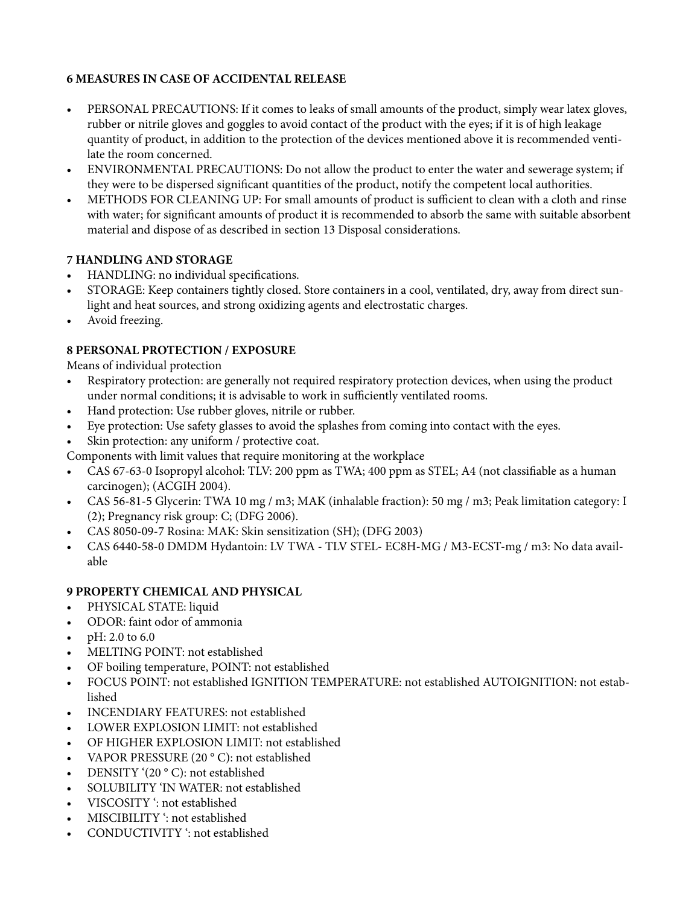# **6 MEASURES IN CASE OF ACCIDENTAL RELEASE**

- PERSONAL PRECAUTIONS: If it comes to leaks of small amounts of the product, simply wear latex gloves, rubber or nitrile gloves and goggles to avoid contact of the product with the eyes; if it is of high leakage quantity of product, in addition to the protection of the devices mentioned above it is recommended ventilate the room concerned.
- ENVIRONMENTAL PRECAUTIONS: Do not allow the product to enter the water and sewerage system; if they were to be dispersed significant quantities of the product, notify the competent local authorities.
- METHODS FOR CLEANING UP: For small amounts of product is sufficient to clean with a cloth and rinse with water; for significant amounts of product it is recommended to absorb the same with suitable absorbent material and dispose of as described in section 13 Disposal considerations.

# **7 HANDLING AND STORAGE**

- HANDLING: no individual specifications.
- STORAGE: Keep containers tightly closed. Store containers in a cool, ventilated, dry, away from direct sunlight and heat sources, and strong oxidizing agents and electrostatic charges.
- Avoid freezing.

# **8 PERSONAL PROTECTION / EXPOSURE**

Means of individual protection

- Respiratory protection: are generally not required respiratory protection devices, when using the product under normal conditions; it is advisable to work in sufficiently ventilated rooms.
- Hand protection: Use rubber gloves, nitrile or rubber.
- Eye protection: Use safety glasses to avoid the splashes from coming into contact with the eyes.
- Skin protection: any uniform / protective coat.

Components with limit values that require monitoring at the workplace

- CAS 67-63-0 Isopropyl alcohol: TLV: 200 ppm as TWA; 400 ppm as STEL; A4 (not classifiable as a human carcinogen); (ACGIH 2004).
- CAS 56-81-5 Glycerin: TWA 10 mg / m3; MAK (inhalable fraction): 50 mg / m3; Peak limitation category: I (2); Pregnancy risk group: C; (DFG 2006).
- CAS 8050-09-7 Rosina: MAK: Skin sensitization (SH); (DFG 2003)
- CAS 6440-58-0 DMDM Hydantoin: LV TWA TLV STEL- EC8H-MG / M3-ECST-mg / m3: No data available

# **9 PROPERTY CHEMICAL AND PHYSICAL**

- PHYSICAL STATE: liquid
- ODOR: faint odor of ammonia
- $pH: 2.0 \text{ to } 6.0$
- MELTING POINT: not established
- OF boiling temperature, POINT: not established
- FOCUS POINT: not established IGNITION TEMPERATURE: not established AUTOIGNITION: not established
- INCENDIARY FEATURES: not established
- LOWER EXPLOSION LIMIT: not established
- OF HIGHER EXPLOSION LIMIT: not established
- VAPOR PRESSURE (20 °C): not established
- DENSITY '(20 °C): not established
- SOLUBILITY 'IN WATER: not established
- VISCOSITY ': not established
- MISCIBILITY ': not established
- CONDUCTIVITY ': not established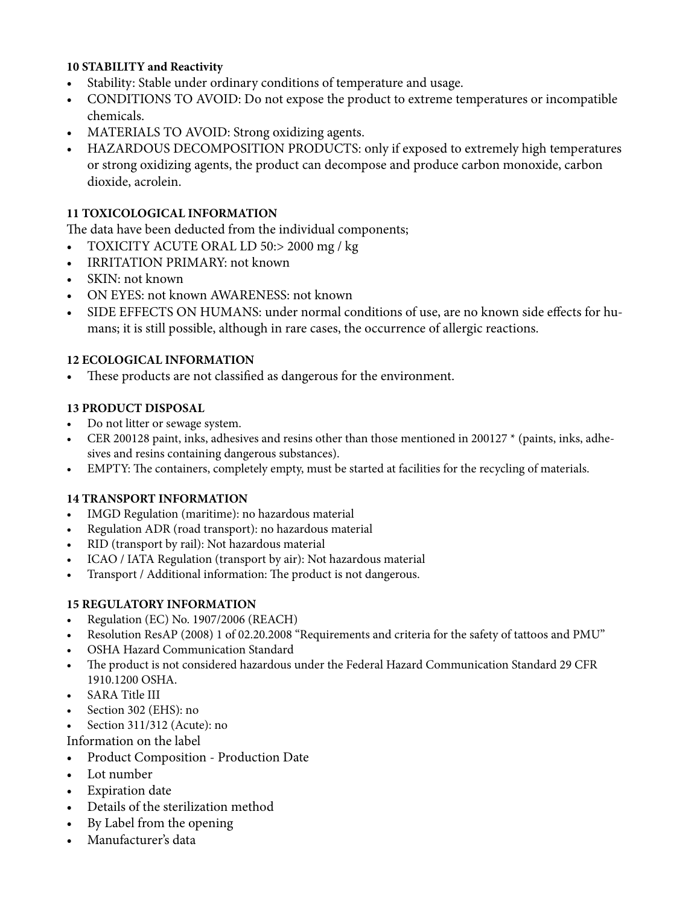# **10 STABILITY and Reactivity**

- Stability: Stable under ordinary conditions of temperature and usage.
- CONDITIONS TO AVOID: Do not expose the product to extreme temperatures or incompatible chemicals.
- MATERIALS TO AVOID: Strong oxidizing agents.
- HAZARDOUS DECOMPOSITION PRODUCTS: only if exposed to extremely high temperatures or strong oxidizing agents, the product can decompose and produce carbon monoxide, carbon dioxide, acrolein.

### **11 TOXICOLOGICAL INFORMATION**

The data have been deducted from the individual components;

- TOXICITY ACUTE ORAL LD 50:> 2000 mg / kg
- IRRITATION PRIMARY: not known
- SKIN: not known
- ON EYES: not known AWARENESS: not known
- SIDE EFFECTS ON HUMANS: under normal conditions of use, are no known side effects for humans; it is still possible, although in rare cases, the occurrence of allergic reactions.

### **12 ECOLOGICAL INFORMATION**

• These products are not classified as dangerous for the environment.

### **13 PRODUCT DISPOSAL**

- Do not litter or sewage system.
- CER 200128 paint, inks, adhesives and resins other than those mentioned in 200127 \* (paints, inks, adhesives and resins containing dangerous substances).
- EMPTY: The containers, completely empty, must be started at facilities for the recycling of materials.

### **14 TRANSPORT INFORMATION**

- IMGD Regulation (maritime): no hazardous material
- Regulation ADR (road transport): no hazardous material
- RID (transport by rail): Not hazardous material
- ICAO / IATA Regulation (transport by air): Not hazardous material
- Transport / Additional information: The product is not dangerous.

### **15 REGULATORY INFORMATION**

- Regulation (EC) No. 1907/2006 (REACH)
- Resolution ResAP (2008) 1 of 02.20.2008 "Requirements and criteria for the safety of tattoos and PMU"
- OSHA Hazard Communication Standard
- The product is not considered hazardous under the Federal Hazard Communication Standard 29 CFR 1910.1200 OSHA.
- SARA Title III
- Section 302 (EHS): no
- Section 311/312 (Acute): no

Information on the label

- Product Composition Production Date
- Lot number
- Expiration date
- Details of the sterilization method
- By Label from the opening
- Manufacturer's data